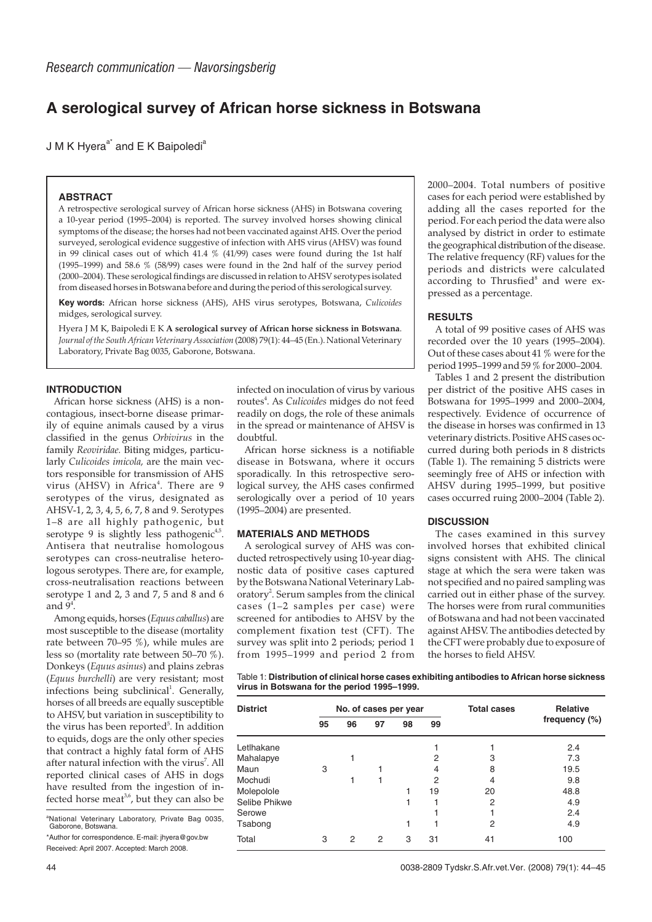# **A serological survey of African horse sickness in Botswana**

J M K Hyera $a^*$  and E K Baipoledi<sup>a</sup>

## **ABSTRACT**

A retrospective serological survey of African horse sickness (AHS) in Botswana covering a 10-year period (1995–2004) is reported. The survey involved horses showing clinical symptoms of the disease; the horses had not been vaccinated against AHS. Over the period surveyed, serological evidence suggestive of infection with AHS virus (AHSV) was found in 99 clinical cases out of which 41.4 % (41/99) cases were found during the 1st half (1995–1999) and 58.6 % (58/99) cases were found in the 2nd half of the survey period (2000–2004). These serological findings are discussed in relation to AHSV serotypes isolated from diseased horses in Botswana before and during the period of this serological survey.

**Key words:** African horse sickness (AHS), AHS virus serotypes, Botswana, *Culicoides* midges, serological survey.

Hyera J M K, Baipoledi E K **A serological survey of African horse sickness in Botswana**. *Journal of the South African Veterinary Association* (2008) 79(1): 44–45 (En.). National Veterinary Laboratory, Private Bag 0035, Gaborone, Botswana.

#### **INTRODUCTION**

African horse sickness (AHS) is a noncontagious, insect-borne disease primarily of equine animals caused by a virus classified in the genus *Orbivirus* in the family *Reoviridae.* Biting midges, particularly *Culicoides imicola,* are the main vectors responsible for transmission of AHS virus (AHSV) in Africa<sup>4</sup>. There are 9 serotypes of the virus, designated as AHSV-1, 2, 3, 4, 5, 6, 7, 8 and 9. Serotypes 1–8 are all highly pathogenic, but serotype 9 is slightly less pathogenic<sup>4,5</sup>. Antisera that neutralise homologous serotypes can cross-neutralise heterologous serotypes. There are, for example, cross-neutralisation reactions between serotype 1 and 2, 3 and 7, 5 and 8 and 6 and  $9^4$ .

Among equids, horses (*Equus caballus*) are most susceptible to the disease (mortality rate between 70–95 %), while mules are less so (mortality rate between 50–70 %). Donkeys (*Equus asinus*) and plains zebras (*Equus burchelli*) are very resistant; most infections being subclinical<sup>1</sup>. Generally, horses of all breeds are equally susceptible to AHSV, but variation in susceptibility to the virus has been reported<sup>5</sup>. In addition to equids, dogs are the only other species that contract a highly fatal form of AHS after natural infection with the virus<sup>7</sup>. All reported clinical cases of AHS in dogs have resulted from the ingestion of infected horse meat<sup>3,6</sup>, but they can also be

<sup>a</sup>National Veterinary Laboratory, Private Bag 0035, Gaborone, Botswana. \*Author for correspondence. E-mail: jhyera@gov.bw

Received: April 2007. Accepted: March 2008.

infected on inoculation of virus by various routes<sup>4</sup>. As *Culicoides* midges do not feed readily on dogs, the role of these animals in the spread or maintenance of AHSV is doubtful.

African horse sickness is a notifiable disease in Botswana, where it occurs sporadically. In this retrospective serological survey, the AHS cases confirmed serologically over a period of 10 years (1995–2004) are presented.

#### **MATERIALS AND METHODS**

A serological survey of AHS was conducted retrospectively using 10-year diagnostic data of positive cases captured by the Botswana National Veterinary Laboratory<sup>2</sup>. Serum samples from the clinical cases (1–2 samples per case) were screened for antibodies to AHSV by the complement fixation test (CFT). The survey was split into 2 periods; period 1 from 1995–1999 and period 2 from

2000–2004. Total numbers of positive cases for each period were established by adding all the cases reported for the period. For each period the data were also analysed by district in order to estimate the geographical distribution of the disease. The relative frequency (RF) values for the periods and districts were calculated according to Thrusfied<sup>8</sup> and were expressed as a percentage.

#### **RESULTS**

A total of 99 positive cases of AHS was recorded over the 10 years (1995–2004). Out of these cases about 41 % were for the period 1995–1999 and 59 % for 2000–2004.

Tables 1 and 2 present the distribution per district of the positive AHS cases in Botswana for 1995–1999 and 2000–2004, respectively. Evidence of occurrence of the disease in horses was confirmed in 13 veterinary districts. Positive AHS cases occurred during both periods in 8 districts (Table 1). The remaining 5 districts were seemingly free of AHS or infection with AHSV during 1995–1999, but positive cases occurred ruing 2000–2004 (Table 2).

## **DISCUSSION**

The cases examined in this survey involved horses that exhibited clinical signs consistent with AHS. The clinical stage at which the sera were taken was not specified and no paired sampling was carried out in either phase of the survey. The horses were from rural communities of Botswana and had not been vaccinated against AHSV. The antibodies detected by the CFT were probably due to exposure of the horses to field AHSV.

Table 1: **Distribution of clinical horse cases exhibiting antibodies to African horse sickness virus in Botswana for the period 1995–1999.**

|    |    |    |    |    | <b>Total cases</b>    | <b>Relative</b> |
|----|----|----|----|----|-----------------------|-----------------|
| 95 | 96 | 97 | 98 | 99 |                       | frequency (%)   |
|    |    |    |    |    |                       | 2.4             |
|    |    |    |    | 2  | 3                     | 7.3             |
| 3  |    |    |    | 4  | 8                     | 19.5            |
|    |    |    |    | 2  | 4                     | 9.8             |
|    |    |    |    | 19 | 20                    | 48.8            |
|    |    |    |    |    | $\overline{2}$        | 4.9             |
|    |    |    |    |    |                       | 2.4             |
|    |    |    |    |    | 2                     | 4.9             |
| 3  | 2  | 2  | 3  | 31 | 41                    | 100             |
|    |    |    |    |    | No. of cases per year |                 |